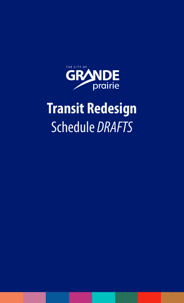

# **Transit Redesign** Schedule *DRAFTS*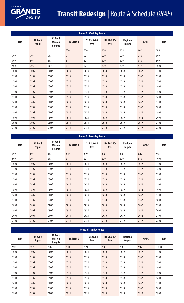

### **Transit Redesign |** Route A Schedule *DRAFT*

| Route A   Weekday Route |                           |                                              |                 |                    |                     |                                    |             |            |
|-------------------------|---------------------------|----------------------------------------------|-----------------|--------------------|---------------------|------------------------------------|-------------|------------|
| <b>TCM</b>              | 84 Ave &<br><b>Poplar</b> | 84 Ave &<br><b>Mission</b><br><b>Heights</b> | <b>EASTLINK</b> | 116 St & 84<br>Ave | 116 St & 104<br>Ave | <b>Regional</b><br><b>Hospital</b> | <b>GPRC</b> | <b>TCM</b> |
| $\overline{a}$          | $\overline{\phantom{a}}$  | ÷                                            | 614             | 624                | 630                 | 639                                | 642         | 700        |
| 700                     | 705                       | 707                                          | 714             | 724                | 730                 | 739                                | 742         | 800        |
| 800                     | 805                       | 807                                          | 814             | 824                | 830                 | 839                                | 842         | 900        |
| 900                     | 905                       | 907                                          | 914             | 924                | 930                 | 939                                | 942         | 1000       |
| 1000                    | 1005                      | 1007                                         | 1014            | 1024               | 1030                | 1039                               | 1042        | 1100       |
| 1100                    | 1105                      | 1107                                         | 1114            | 1124               | 1130                | 1139                               | 1142        | 1200       |
| 1200                    | 1205                      | 1207                                         | 1214            | 1224               | 1230                | 1239                               | 1242        | 1300       |
| 1300                    | 1305                      | 1307                                         | 1314            | 1324               | 1330                | 1339                               | 1342        | 1400       |
| 1400                    | 1405                      | 1407                                         | 1414            | 1424               | 1430                | 1439                               | 1442        | 1500       |
| 1500                    | 1505                      | 1507                                         | 1514            | 1524               | 1530                | 1539                               | 1542        | 1600       |
| 1600                    | 1605                      | 1607                                         | 1614            | 1624               | 1630                | 1639                               | 1642        | 1700       |
| 1700                    | 1705                      | 1707                                         | 1714            | 1724               | 1730                | 1739                               | 1742        | 1800       |
| 1800                    | 1805                      | 1807                                         | 1814            | 1824               | 1830                | 1839                               | 1842        | 1900       |
| 1900                    | 1905                      | 1907                                         | 1914            | 1924               | 1930                | 1939                               | 1942        | 2000       |
| 2000                    | 2005                      | 2007                                         | 2014            | 2024               | 2030                | 2039                               | 2042        | 2100       |
| 2100                    | 2105                      | 2107                                         | 2114            | 2124               | 2130                | 2139                               | 2142        | 2200       |

|            | Route A   Saturday Route             |                                              |                 |                    |                     |                                    |             |            |
|------------|--------------------------------------|----------------------------------------------|-----------------|--------------------|---------------------|------------------------------------|-------------|------------|
| <b>TCM</b> | <b>84 Ave &amp;</b><br><b>Poplar</b> | 84 Ave &<br><b>Mission</b><br><b>Heights</b> | <b>EASTLINK</b> | 116 St & 84<br>Ave | 116 St & 104<br>Ave | <b>Regional</b><br><b>Hospital</b> | <b>GPRC</b> | <b>TCM</b> |
| 800        | 805                                  | 807                                          | 814             | 824                | 830                 | 839                                | 842         | 900        |
| 900        | 905                                  | 907                                          | 914             | 924                | 930                 | 939                                | 942         | 1000       |
| 1000       | 1005                                 | 1007                                         | 1014            | 1024               | 1030                | 1039                               | 1042        | 1100       |
| 1100       | 1105                                 | 1107                                         | 1114            | 1124               | 1130                | 1139                               | 1142        | 1200       |
| 1200       | 1205                                 | 1207                                         | 1214            | 1224               | 1230                | 1239                               | 1242        | 1300       |
| 1300       | 1305                                 | 1307                                         | 1314            | 1324               | 1330                | 1339                               | 1342        | 1400       |
| 1400       | 1405                                 | 1407                                         | 1414            | 1424               | 1430                | 1439                               | 1442        | 1500       |
| 1500       | 1505                                 | 1507                                         | 1514            | 1524               | 1530                | 1539                               | 1542        | 1600       |
| 1600       | 1605                                 | 1607                                         | 1614            | 1624               | 1630                | 1639                               | 1642        | 1700       |
| 1700       | 1705                                 | 1707                                         | 1714            | 1724               | 1730                | 1739                               | 1742        | 1800       |
| 1800       | 1805                                 | 1807                                         | 1814            | 1824               | 1830                | 1839                               | 1842        | 1900       |
| 1900       | 1905                                 | 1907                                         | 1914            | 1924               | 1930                | 1939                               | 1942        | 2000       |
| 2000       | 2005                                 | 2007                                         | 2014            | 2024               | 2030                | 2039                               | 2042        | 2100       |
| 2100       | 2105                                 | 2107                                         | 2114            | 2124               | 2130                | 2139                               | 2142        | 2200       |

|            | <b>Route A   Sunday Route</b> |                                              |                 |                    |                     |                             |             |            |
|------------|-------------------------------|----------------------------------------------|-----------------|--------------------|---------------------|-----------------------------|-------------|------------|
| <b>TCM</b> | 84 Ave &<br><b>Poplar</b>     | 84 Ave &<br><b>Mission</b><br><b>Heights</b> | <b>EASTLINK</b> | 116 St & 84<br>Ave | 116 St & 104<br>Ave | Regional<br><b>Hospital</b> | <b>GPRC</b> | <b>TCM</b> |
| 900        | 905                           | 907                                          | 914             | 924                | 930                 | 939                         | 942         | 1000       |
| 1000       | 1005                          | 1007                                         | 1014            | 1024               | 1030                | 1039                        | 1042        | 1100       |
| 1100       | 1105                          | 1107                                         | 1114            | 1124               | 1130                | 1139                        | 1142        | 1200       |
| 1200       | 1205                          | 1207                                         | 1214            | 1224               | 1230                | 1239                        | 1242        | 1300       |
| 1300       | 1305                          | 1307                                         | 1314            | 1324               | 1330                | 1339                        | 1342        | 1400       |
| 1400       | 1405                          | 1407                                         | 1414            | 1424               | 1430                | 1439                        | 1442        | 1500       |
| 1500       | 1505                          | 1507                                         | 1514            | 1524               | 1530                | 1539                        | 1542        | 1600       |
| 1600       | 1605                          | 1607                                         | 1614            | 1624               | 1630                | 1639                        | 1642        | 1700       |
| 1700       | 1705                          | 1707                                         | 1714            | 1724               | 1730                | 1739                        | 1742        | 1800       |
| 1800       | 1805                          | 1807                                         | 1814            | 1824               | 1830                | 1839                        | 1842        | 1900       |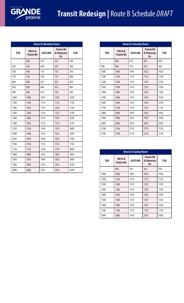

|            | Route B   Weekday Route       |                                                            |      |            |  |  |  |  |  |
|------------|-------------------------------|------------------------------------------------------------|------|------------|--|--|--|--|--|
| <b>TCM</b> | 100 St &<br><b>Prairie Rd</b> | <b>Prairie Rd</b><br><b>EASTLINK</b><br>& Patterson<br>Dr. |      | <b>TCM</b> |  |  |  |  |  |
| -          | 606                           | 614                                                        | 625  | 630        |  |  |  |  |  |
| 630        | 636                           | 644                                                        | 655  | 700        |  |  |  |  |  |
| 700        | 706                           | 714                                                        | 725  | 730        |  |  |  |  |  |
| 730        | 736                           | 744                                                        | 755  | 800        |  |  |  |  |  |
| 800        | 806                           | 814                                                        | 825  | 830        |  |  |  |  |  |
| 830        | 836                           | 844                                                        | 855  | 900        |  |  |  |  |  |
| 900        | 906                           | 914                                                        | 925  | 930        |  |  |  |  |  |
| 1000       | 1006                          | 1014                                                       | 1025 | 1030       |  |  |  |  |  |
| 1100       | 1106                          | 1114                                                       | 1125 | 1130       |  |  |  |  |  |
| 1200       | 1206                          | 1214                                                       | 1225 | 1230       |  |  |  |  |  |
| 1300       | 1306                          | 1314                                                       | 1325 | 1330       |  |  |  |  |  |
| 1400       | 1406                          | 1414                                                       | 1425 | 1430       |  |  |  |  |  |
| 1500       | 1506                          | 1514                                                       | 1525 | 1530       |  |  |  |  |  |
| 1530       | 1536                          | 1544                                                       | 1555 | 1600       |  |  |  |  |  |
| 1600       | 1606                          | 1614                                                       | 1625 | 1630       |  |  |  |  |  |
| 1630       | 1636                          | 1644                                                       | 1655 | 1700       |  |  |  |  |  |
| 1700       | 1706                          | 1714                                                       | 1725 | 1730       |  |  |  |  |  |
| 1730       | 1736                          | 1744                                                       | 1755 | 1800       |  |  |  |  |  |
| 1800       | 1806                          | 1814                                                       | 1825 | 1830       |  |  |  |  |  |
| 1830       | 1836                          | 1844                                                       | 1855 | 1900       |  |  |  |  |  |
| 1900       | 1906                          | 1914                                                       | 1925 | 1930       |  |  |  |  |  |
| 2000       | 2006                          | 2014                                                       | 2025 | 2030       |  |  |  |  |  |

|            | Route B   Saturday Route      |                 |                                         |            |  |  |  |  |  |
|------------|-------------------------------|-----------------|-----------------------------------------|------------|--|--|--|--|--|
| <b>TCM</b> | 100 St &<br><b>Prairie Rd</b> | <b>EASTLINK</b> | <b>Prairie Rd</b><br>& Patterson<br>Dr. | <b>TCM</b> |  |  |  |  |  |
|            | 806                           | 814             | 825                                     | 830        |  |  |  |  |  |
| 900        | 906                           | 914             | 925                                     | 930        |  |  |  |  |  |
| 1000       | 1006                          | 1014            | 1025                                    | 1030       |  |  |  |  |  |
| 1100       | 1106                          | 1114            | 1125                                    | 1130       |  |  |  |  |  |
| 1200       | 1206                          | 1214            | 1225                                    | 1230       |  |  |  |  |  |
| 1300       | 1306                          | 1314            | 1325                                    | 1330       |  |  |  |  |  |
| 1400       | 1406                          | 1414            | 1425                                    | 1430       |  |  |  |  |  |
| 1500       | 1506                          | 1514            | 1525                                    | 1530       |  |  |  |  |  |
| 1600       | 1606                          | 1614            | 1625                                    | 1630       |  |  |  |  |  |
| 1700       | 1706                          | 1714            | 1725                                    | 1730       |  |  |  |  |  |
| 1800       | 1806                          | 1814            | 1825                                    | 1830       |  |  |  |  |  |
| 1900       | 1906                          | 1914            | 1925                                    | 1930       |  |  |  |  |  |
| 2000       | 2006                          | 2014            | 2025                                    | 2030       |  |  |  |  |  |
| 2100       | 2106                          | 2114            | 2125                                    | 2130       |  |  |  |  |  |
| 2100       | 2106                          | 2114            | 2125                                    | 2130       |  |  |  |  |  |

|            | <b>Route B   Sunday Route</b> |      |                        |      |                                  |            |  |  |  |
|------------|-------------------------------|------|------------------------|------|----------------------------------|------------|--|--|--|
| <b>TCM</b> | 100 St &<br><b>Prairie Rd</b> |      | <b>EASTLINK</b><br>Dr. |      | <b>Prairie Rd</b><br>& Patterson | <b>TCM</b> |  |  |  |
|            | 906                           | 914  | 925                    | 930  |                                  |            |  |  |  |
| 1000       | 1006                          | 1014 | 1025                   | 1030 |                                  |            |  |  |  |
| 1100       | 1106                          | 1114 | 1125                   | 1130 |                                  |            |  |  |  |
| 1200       | 1206                          | 1214 | 1225                   | 1230 |                                  |            |  |  |  |
| 1300       | 1306                          | 1314 | 1325                   | 1330 |                                  |            |  |  |  |
| 1400       | 1406                          | 1414 | 1425                   | 1430 |                                  |            |  |  |  |
| 1500       | 1506                          | 1514 | 1525                   | 1530 |                                  |            |  |  |  |
| 1600       | 1606                          | 1614 | 1625                   | 1630 |                                  |            |  |  |  |
| 1700       | 1706                          | 1714 | 1725                   | 1730 |                                  |            |  |  |  |
| 1800       | 1806                          | 1814 | 1825                   | 1830 |                                  |            |  |  |  |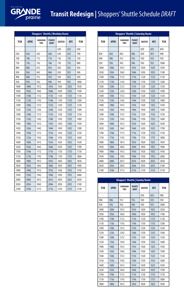

#### **Transit Redesign |** Shoppers' Shuttle Schedule *DRAFT*

|            | <b>Shoppers' Shuttle   Weekday Route</b> |                                |                              |               |            |            |  |  |  |
|------------|------------------------------------------|--------------------------------|------------------------------|---------------|------------|------------|--|--|--|
| <b>TCM</b> | <b>GPRC</b>                              | <b>CANADIAN</b><br><b>TIRE</b> | <b>PEAVEY</b><br><b>MART</b> | <b>COSTCO</b> | <b>KFC</b> | <b>TCM</b> |  |  |  |
| L.         | $\overline{a}$                           | $\overline{a}$                 |                              | 620           | 625        | 630        |  |  |  |
| 630        | 636                                      | 642                            | 646                          | 650           | 655        | 700        |  |  |  |
| 700        | 706                                      | 712                            | 716                          | 720           | 725        | 730        |  |  |  |
| 730        | 736                                      | 742                            | 746                          | 750           | 755        | 800        |  |  |  |
| 800        | 806                                      | 812                            | 816                          | 820           | 825        | 830        |  |  |  |
| 830        | 836                                      | 842                            | 846                          | 850           | 855        | 900        |  |  |  |
| 900        | 906                                      | 912                            | 916                          | 920           | 925        | 930        |  |  |  |
| 930        | 936                                      | 942                            | 946                          | 950           | 955        | 1000       |  |  |  |
| 1000       | 1006                                     | 1012                           | 1016                         | 1020          | 1025       | 1030       |  |  |  |
| 1030       | 1036                                     | 1042                           | 1046                         | 1050          | 1055       | 1100       |  |  |  |
| 1100       | 1106                                     | 1112                           | 1116                         | 1120          | 1125       | 1130       |  |  |  |
| 1130       | 1136                                     | 1142                           | 1146                         | 1150          | 1155       | 1200       |  |  |  |
| 1200       | 1206                                     | 1212                           | 1216                         | 1220          | 1225       | 1230       |  |  |  |
| 1230       | 1236                                     | 1242                           | 1246                         | 1250          | 1255       | 1300       |  |  |  |
| 1300       | 1306                                     | 1312                           | 1316                         | 1320          | 1325       | 1330       |  |  |  |
| 1330       | 1336                                     | 1342                           | 1346                         | 1350          | 1355       | 1400       |  |  |  |
| 1400       | 1406                                     | 1412                           | 1416                         | 1420          | 1425       | 1430       |  |  |  |
| 1430       | 1436                                     | 1442                           | 1446                         | 1450          | 1455       | 1500       |  |  |  |
| 1500       | 1506                                     | 1512                           | 1516                         | 1520          | 1525       | 1530       |  |  |  |
| 1530       | 1536                                     | 1542                           | 1546                         | 1550          | 1555       | 1600       |  |  |  |
| 1600       | 1606                                     | 1612                           | 1616                         | 1620          | 1625       | 1630       |  |  |  |
| 1630       | 1636                                     | 1642                           | 1646                         | 1650          | 1655       | 1700       |  |  |  |
| 1700       | 1706                                     | 1712                           | 1716                         | 1720          | 1725       | 1730       |  |  |  |
| 1730       | 1736                                     | 1742                           | 1746                         | 1750          | 1755       | 1800       |  |  |  |
| 1800       | 1806                                     | 1812                           | 1816                         | 1820          | 1825       | 1830       |  |  |  |
| 1830       | 1836                                     | 1842                           | 1846                         | 1850          | 1855       | 1900       |  |  |  |
| 1900       | 1906                                     | 1912                           | 1916                         | 1920          | 1925       | 1930       |  |  |  |
| 1930       | 1936                                     | 1942                           | 1946                         | 1950          | 1955       | 2000       |  |  |  |
| 2000       | 2006                                     | 2012                           | 2016                         | 2020          | 2025       | 2030       |  |  |  |
| 2030       | 2036                                     | 2042                           | 2046                         | 2050          | 2055       | 2100       |  |  |  |
| 2100       | 2106                                     | 2112                           | 2116                         | 2120          | 2125       | 2130       |  |  |  |

|            | <b>Shoppers' Shuttle   Saturday Route</b> |                                |                              |               |            |            |  |  |  |
|------------|-------------------------------------------|--------------------------------|------------------------------|---------------|------------|------------|--|--|--|
| <b>TCM</b> | <b>GPRC</b>                               | <b>CANADIAN</b><br><b>TIRE</b> | <b>PEAVEY</b><br><b>MART</b> | <b>COSTCO</b> | <b>KFC</b> | <b>TCM</b> |  |  |  |
|            |                                           |                                |                              | 820           | 825        | 830        |  |  |  |
| 830        | 836                                       | 842                            | 846                          | 850           | 855        | 900        |  |  |  |
| 900        | 906                                       | 912                            | 916                          | 920           | 925        | 930        |  |  |  |
| 930        | 936                                       | 942                            | 946                          | 950           | 955        | 1000       |  |  |  |
| 1000       | 1006                                      | 1012                           | 1016                         | 1020          | 1025       | 1030       |  |  |  |
| 1030       | 1036                                      | 1042                           | 1046                         | 1050          | 1055       | 1100       |  |  |  |
| 1100       | 1106                                      | 1112                           | 1116                         | 1120          | 1125       | 1130       |  |  |  |
| 1130       | 1136                                      | 1142                           | 1146                         | 1150          | 1155       | 1200       |  |  |  |
| 1200       | 1206                                      | 1212                           | 1216                         | 1220          | 1225       | 1230       |  |  |  |
| 1230       | 1236                                      | 1242                           | 1246                         | 1250          | 1255       | 1300       |  |  |  |
| 1300       | 1306                                      | 1312                           | 1316                         | 1320          | 1325       | 1330       |  |  |  |
| 1330       | 1336                                      | 1342                           | 1346                         | 1350          | 1355       | 1400       |  |  |  |
| 1400       | 1406                                      | 1412                           | 1416                         | 1420          | 1425       | 1430       |  |  |  |
| 1430       | 1436                                      | 1442                           | 1446                         | 1450          | 1455       | 1500       |  |  |  |
| 1500       | 1506                                      | 1512                           | 1516                         | 1520          | 1525       | 1530       |  |  |  |
| 1530       | 1536                                      | 1542                           | 1546                         | 1550          | 1555       | 1600       |  |  |  |
| 1600       | 1606                                      | 1612                           | 1616                         | 1620          | 1625       | 1630       |  |  |  |
| 1630       | 1636                                      | 1642                           | 1646                         | 1650          | 1655       | 1700       |  |  |  |
| 1700       | 1706                                      | 1712                           | 1716                         | 1720          | 1725       | 1730       |  |  |  |
| 1730       | 1736                                      | 1742                           | 1746                         | 1750          | 1755       | 1800       |  |  |  |
| 1800       | 1806                                      | 1812                           | 1816                         | 1820          | 1825       | 1830       |  |  |  |
| 1830       | 1836                                      | 1842                           | 1846                         | 1850          | 1855       | 1900       |  |  |  |
| 1900       | 1906                                      | 1912                           | 1916                         | 1920          | 1925       | 1930       |  |  |  |
| 1930       | 1936                                      | 1942                           | 1946                         | 1950          | 1955       | 2000       |  |  |  |
| 2000       | 2006                                      | 2012                           | 2016                         | 2020          | 2025       | 2030       |  |  |  |
| 2030       | 2036                                      | 2042                           | 2046                         | 2050          | 2055       | 2100       |  |  |  |
| 2100       | 2106                                      | 2112                           | 2116                         | 2120          | 2125       | 2130       |  |  |  |

|            | <b>Shoppers' Shuttle   Sunday Route</b> |                                |                              |               |            |            |  |  |  |  |
|------------|-----------------------------------------|--------------------------------|------------------------------|---------------|------------|------------|--|--|--|--|
| <b>TCM</b> | <b>GPRC</b>                             | <b>CANADIAN</b><br><b>TIRE</b> | <b>PEAVEY</b><br><b>MART</b> | <b>COSTCO</b> | <b>KFC</b> | <b>TCM</b> |  |  |  |  |
|            |                                         |                                |                              | 850           | 855        | 900        |  |  |  |  |
| 900        | 906                                     | 912                            | 916                          | 920           | 925        | 930        |  |  |  |  |
| 930        | 936                                     | 942                            | 946                          | 950           | 955        | 1000       |  |  |  |  |
| 1000       | 1006                                    | 1012                           | 1016                         | 1020          | 1025       | 1030       |  |  |  |  |
| 1030       | 1036                                    | 1042                           | 1046                         | 1050          | 1055       | 1100       |  |  |  |  |
| 1100       | 1106                                    | 1112                           | 1116                         | 1120          | 1125       | 1130       |  |  |  |  |
| 1130       | 1136                                    | 1142                           | 1146                         | 1150          | 1155       | 1200       |  |  |  |  |
| 1200       | 1206                                    | 1212                           | 1216                         | 1220          | 1225       | 1230       |  |  |  |  |
| 1230       | 1236                                    | 1242                           | 1246                         | 1250          | 1255       | 1300       |  |  |  |  |
| 1300       | 1306                                    | 1312                           | 1316                         | 1320          | 1325       | 1330       |  |  |  |  |
| 1330       | 1336                                    | 1342                           | 1346                         | 1350          | 1355       | 1400       |  |  |  |  |
| 1400       | 1406                                    | 1412                           | 1416                         | 1420          | 1425       | 1430       |  |  |  |  |
| 1430       | 1436                                    | 1442                           | 1446                         | 1450          | 1455       | 1500       |  |  |  |  |
| 1500       | 1506                                    | 1512                           | 1516                         | 1520          | 1525       | 1530       |  |  |  |  |
| 1530       | 1536                                    | 1542                           | 1546                         | 1550          | 1555       | 1600       |  |  |  |  |
| 1600       | 1606                                    | 1612                           | 1616                         | 1620          | 1625       | 1630       |  |  |  |  |
| 1630       | 1636                                    | 1642                           | 1646                         | 1650          | 1655       | 1700       |  |  |  |  |
| 1700       | 1706                                    | 1712                           | 1716                         | 1720          | 1725       | 1730       |  |  |  |  |
| 1730       | 1736                                    | 1742                           | 1746                         | 1750          | 1755       | 1800       |  |  |  |  |
| 1800       | 1806                                    | 1812                           | 1816                         | 1820          | 1825       | 1830       |  |  |  |  |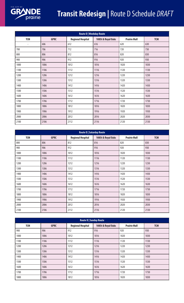

## **Transit Redesign |** Route D Schedule *DRAFT*

|                | Route D   Weekday Route |                          |                    |                     |            |  |  |  |  |
|----------------|-------------------------|--------------------------|--------------------|---------------------|------------|--|--|--|--|
| <b>TCM</b>     | <b>GPRC</b>             | <b>Regional Hospital</b> | 108St & Royal Oaks | <b>Prairie Mall</b> | <b>TCM</b> |  |  |  |  |
| $\overline{a}$ | 606                     | 612                      | 616                | 620                 | 630        |  |  |  |  |
| 700            | 706                     | 712                      | 716                | 720                 | 730        |  |  |  |  |
| 800            | 806                     | 812                      | 816                | 820                 | 830        |  |  |  |  |
| 900            | 906                     | 912                      | 916                | 920                 | 930        |  |  |  |  |
| 1000           | 1006                    | 1012                     | 1016               | 1020                | 1030       |  |  |  |  |
| 1100           | 1106                    | 1112                     | 1116               | 1120                | 1130       |  |  |  |  |
| 1200           | 1206                    | 1212                     | 1216               | 1220                | 1230       |  |  |  |  |
| 1300           | 1306                    | 1312                     | 1316               | 1320                | 1330       |  |  |  |  |
| 1400           | 1406                    | 1412                     | 1416               | 1420                | 1430       |  |  |  |  |
| 1500           | 1506                    | 1512                     | 1516               | 1520                | 1530       |  |  |  |  |
| 1600           | 1606                    | 1612                     | 1616               | 1620                | 1630       |  |  |  |  |
| 1700           | 1706                    | 1712                     | 1716               | 1720                | 1730       |  |  |  |  |
| 1800           | 1806                    | 1812                     | 1816               | 1820                | 1830       |  |  |  |  |
| 1900           | 1906                    | 1912                     | 1916               | 1920                | 1930       |  |  |  |  |
| 2000           | 2006                    | 2012                     | 2016               | 2020                | 2030       |  |  |  |  |
| 2100           | 2106                    | 2112                     | 2116               | 2120                | 2130       |  |  |  |  |

| Route D   Saturday Route |             |                          |                    |                     |            |  |  |  |
|--------------------------|-------------|--------------------------|--------------------|---------------------|------------|--|--|--|
| <b>TCM</b>               | <b>GPRC</b> | <b>Regional Hospital</b> | 108St & Royal Oaks | <b>Prairie Mall</b> | <b>TCM</b> |  |  |  |
| 800                      | 806         | 812                      | 816                | 820                 | 830        |  |  |  |
| 900                      | 906         | 912                      | 916                | 920                 | 930        |  |  |  |
| 1000                     | 1006        | 1012                     | 1016               | 1020                | 1030       |  |  |  |
| 1100                     | 1106        | 1112                     | 1116               | 1120                | 1130       |  |  |  |
| 1200                     | 1206        | 1212                     | 1216               | 1220                | 1230       |  |  |  |
| 1300                     | 1306        | 1312                     | 1316               | 1320                | 1330       |  |  |  |
| 1400                     | 1406        | 1412                     | 1416               | 1420                | 1430       |  |  |  |
| 1500                     | 1506        | 1512                     | 1516               | 1520                | 1530       |  |  |  |
| 1600                     | 1606        | 1612                     | 1616               | 1620                | 1630       |  |  |  |
| 1700                     | 1706        | 1712                     | 1716               | 1720                | 1730       |  |  |  |
| 1800                     | 1806        | 1812                     | 1816               | 1820                | 1830       |  |  |  |
| 1900                     | 1906        | 1912                     | 1916               | 1920                | 1930       |  |  |  |
| 2000                     | 2006        | 2012                     | 2016               | 2020                | 2030       |  |  |  |
| 2100                     | 2106        | 2112                     | 2116               | 2120                | 2130       |  |  |  |

| <b>Route D   Sunday Route</b> |             |                          |                    |                     |            |  |  |  |
|-------------------------------|-------------|--------------------------|--------------------|---------------------|------------|--|--|--|
| <b>TCM</b>                    | <b>GPRC</b> | <b>Regional Hospital</b> | 108St & Royal Oaks | <b>Prairie Mall</b> | <b>TCM</b> |  |  |  |
| 900                           | 906         | 912                      | 916                | 920                 | 930        |  |  |  |
| 1000                          | 1006        | 1012                     | 1016               | 1020                | 1030       |  |  |  |
| 1100                          | 1106        | 1112                     | 1116               | 1120                | 1130       |  |  |  |
| 1200                          | 1206        | 1212                     | 1216               | 1220                | 1230       |  |  |  |
| 1300                          | 1306        | 1312                     | 1316               | 1320                | 1330       |  |  |  |
| 1400                          | 1406        | 1412                     | 1416               | 1420                | 1430       |  |  |  |
| 1500                          | 1506        | 1512                     | 1516               | 1520                | 1530       |  |  |  |
| 1600                          | 1606        | 1612                     | 1616               | 1620                | 1630       |  |  |  |
| 1700                          | 1706        | 1712                     | 1716               | 1720                | 1730       |  |  |  |
| 1800                          | 1806        | 1812                     | 1816               | 1820                | 1830       |  |  |  |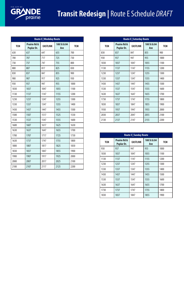

| <b>Route E   Weekday Route</b> |                                       |                 |                    |            |  |
|--------------------------------|---------------------------------------|-----------------|--------------------|------------|--|
| <b>TCM</b>                     | <b>Prairie Rd &amp;</b><br>Poplar Dr. | <b>EASTLINK</b> | 100 St & 84<br>Ave | <b>TCM</b> |  |
| 630                            | 637                                   | 647             | 655                | 700        |  |
| 700                            | 707                                   | 717             | 725                | 730        |  |
| 730                            | 737                                   | 747             | 755                | 800        |  |
| 800                            | 807                                   | 817             | 825                | 830        |  |
| 830                            | 837                                   | 847             | 855                | 900        |  |
| 900                            | 907                                   | 917             | 925                | 930        |  |
| 930                            | 937                                   | 947             | 955                | 1000       |  |
| 1030                           | 1037                                  | 1047            | 1055               | 1100       |  |
| 1130                           | 1137                                  | 1147            | 1155               | 1200       |  |
| 1230                           | 1237                                  | 1247            | 1255               | 1300       |  |
| 1330                           | 1337                                  | 1347            | 1355               | 1400       |  |
| 1430                           | 1437                                  | 1447            | 1455               | 1500       |  |
| 1500                           | 1507                                  | 1517            | 1525               | 1530       |  |
| 1530                           | 1537                                  | 1547            | 1555               | 1600       |  |
| 1600                           | 1607                                  | 1617            | 1625               | 1630       |  |
| 1630                           | 1637                                  | 1647            | 1655               | 1700       |  |
| 1700                           | 1707                                  | 1717            | 1725               | 1730       |  |
| 1630                           | 1737                                  | 1747            | 1755               | 1800       |  |
| 1800                           | 1807                                  | 1817            | 1825               | 1830       |  |
| 1830                           | 1837                                  | 1847            | 1855               | 1900       |  |
| 1900                           | 1907                                  | 1917            | 1925               | 2000       |  |
| 2000                           | 2007                                  | 2017            | 2025               | 2100       |  |
| 2100                           | 2107                                  | 2117            | 2125               | 2200       |  |

| Route E   Saturday Route |                                       |                 |                    |            |
|--------------------------|---------------------------------------|-----------------|--------------------|------------|
| <b>TCM</b>               | <b>Prairie Rd &amp;</b><br>Poplar Dr. | <b>EASTLINK</b> | 100 St & 84<br>Ave | <b>TCM</b> |
| 830                      | 837                                   | 847             | 855                | 900        |
| 930                      | 937                                   | 947             | 955                | 1000       |
| 1030                     | 1037                                  | 1047            | 1055               | 1100       |
| 1130                     | 1137                                  | 1147            | 1155               | 1200       |
| 1230                     | 1237                                  | 1247            | 1255               | 1300       |
| 1330                     | 1337                                  | 1347            | 1355               | 1400       |
| 1430                     | 1437                                  | 1447            | 1455               | 1500       |
| 1530                     | 1537                                  | 1547            | 1555               | 1600       |
| 1630                     | 1637                                  | 1647            | 1655               | 1700       |
| 1730                     | 1737                                  | 1747            | 1755               | 1800       |
| 1830                     | 1837                                  | 1847            | 1855               | 1900       |
| 1930                     | 1937                                  | 1947            | 1955               | 2000       |
| 2030                     | 2037                                  | 2047            | 2055               | 2100       |
| 2130                     | 2137                                  | 2147            | 2155               | 2200       |

| <b>Route E   Sunday Route</b> |                                       |                 |                    |            |
|-------------------------------|---------------------------------------|-----------------|--------------------|------------|
| <b>TCM</b>                    | <b>Prairie Rd &amp;</b><br>Poplar Dr. | <b>EASTLINK</b> | 100 St & 84<br>Ave | <b>TCM</b> |
| 930                           | 937                                   | 947             | 955                | 1000       |
| 1030                          | 1037                                  | 1047            | 1055               | 1100       |
| 1130                          | 1137                                  | 1147            | 1155               | 1200       |
| 1230                          | 1237                                  | 1247            | 1255               | 1300       |
| 1330                          | 1337                                  | 1347            | 1355               | 1400       |
| 1430                          | 1437                                  | 1447            | 1455               | 1500       |
| 1530                          | 1537                                  | 1547            | 1555               | 1600       |
| 1630                          | 1637                                  | 1647            | 1655               | 1700       |
| 1730                          | 1737                                  | 1747            | 1755               | 1800       |
| 1830                          | 1837                                  | 1847            | 1855               | 1900       |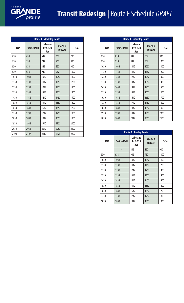

| <b>Route F   Weekday Route</b> |                     |                                    |                            |            |
|--------------------------------|---------------------|------------------------------------|----------------------------|------------|
| <b>TCM</b>                     | <b>Prairie Mall</b> | <b>Lakeland</b><br>Dr & 123<br>Ave | 93A St &<br><b>108 Ave</b> | <b>TCM</b> |
| 630                            | 638                 | 642                                | 652                        | 700        |
| 730                            | 738                 | 742                                | 752                        | 800        |
| 830                            | 838                 | 842                                | 852                        | 900        |
| 930                            | 938                 | 942                                | 952                        | 1000       |
| 1030                           | 1038                | 1042                               | 1052                       | 1100       |
| 1130                           | 1138                | 1142                               | 1152                       | 1200       |
| 1230                           | 1238                | 1242                               | 1252                       | 1300       |
| 1330                           | 1338                | 1342                               | 1352                       | 1400       |
| 1430                           | 1438                | 1442                               | 1452                       | 1500       |
| 1530                           | 1538                | 1542                               | 1552                       | 1600       |
| 1630                           | 1638                | 1642                               | 1652                       | 1700       |
| 1730                           | 1738                | 1742                               | 1752                       | 1800       |
| 1830                           | 1838                | 1842                               | 1852                       | 1900       |
| 1930                           | 1938                | 1942                               | 1952                       | 2000       |
| 2030                           | 2038                | 2042                               | 2052                       | 2100       |
| 2100                           | 2107                | 2117                               | 2125                       | 2200       |

| <b>Route F   Saturday Route</b> |                     |                                    |                            |            |
|---------------------------------|---------------------|------------------------------------|----------------------------|------------|
| <b>TCM</b>                      | <b>Prairie Mall</b> | <b>Lakeland</b><br>Dr & 123<br>Ave | 93A St &<br><b>108 Ave</b> | <b>TCM</b> |
| 830                             | 838                 | 842                                | 852                        | 900        |
| 930                             | 938                 | 942                                | 952                        | 1000       |
| 1030                            | 1038                | 1042                               | 1052                       | 1100       |
| 1130                            | 1138                | 1142                               | 1152                       | 1200       |
| 1230                            | 1238                | 1242                               | 1252                       | 1300       |
| 1330                            | 1338                | 1342                               | 1352                       | 1400       |
| 1430                            | 1438                | 1442                               | 1452                       | 1500       |
| 1530                            | 1538                | 1542                               | 1552                       | 1600       |
| 1630                            | 1638                | 1642                               | 1652                       | 1700       |
| 1730                            | 1738                | 1742                               | 1752                       | 1800       |
| 1830                            | 1838                | 1842                               | 1852                       | 1900       |
| 1930                            | 1938                | 1942                               | 1952                       | 2000       |
| 2030                            | 2038                | 2042                               | 2052                       | 2100       |

| <b>Route F   Sunday Route</b> |                     |                                    |                            |      |
|-------------------------------|---------------------|------------------------------------|----------------------------|------|
| <b>TCM</b>                    | <b>Prairie Mall</b> | <b>Lakeland</b><br>Dr & 123<br>Ave | 93A St &<br><b>108 Ave</b> | TCM  |
|                               |                     | 842                                | 852                        | 900  |
| 930                           | 938                 | 942                                | 952                        | 1000 |
| 1030                          | 1038                | 1042                               | 1052                       | 1100 |
| 1130                          | 1138                | 1142                               | 1152                       | 1200 |
| 1230                          | 1238                | 1242                               | 1252                       | 1300 |
| 1330                          | 1338                | 1342                               | 1352                       | 1400 |
| 1430                          | 1438                | 1442                               | 1452                       | 1500 |
| 1530                          | 1538                | 1542                               | 1552                       | 1600 |
| 1630                          | 1638                | 1642                               | 1652                       | 1700 |
| 1730                          | 1738                | 1742                               | 1752                       | 1800 |
| 1830                          | 1838                | 1842                               | 1852                       | 1900 |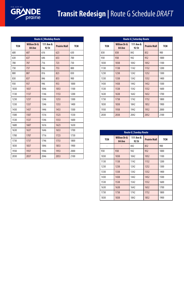

## **Transit Redesign |** Route G Schedule *DRAFT*

| Route G   Weekday Route |                                  |                    |                     |            |  |
|-------------------------|----------------------------------|--------------------|---------------------|------------|--|
| <b>TCM</b>              | <b>Willow Dr &amp;</b><br>84 Ave | 111 Ave &<br>92 St | <b>Prairie Mall</b> | <b>TCM</b> |  |
| 600                     | 607                              | 616                | 623                 | 630        |  |
| 630                     | 637                              | 646                | 653                 | 700        |  |
| 700                     | 707                              | 716                | 723                 | 730        |  |
| 730                     | 737                              | 746                | 753                 | 800        |  |
| 800                     | 807                              | 816                | 823                 | 830        |  |
| 830                     | 837                              | 846                | 853                 | 900        |  |
| 930                     | 937                              | 946                | 953                 | 1000       |  |
| 1030                    | 1037                             | 1046               | 1053                | 1100       |  |
| 1130                    | 1137                             | 1146               | 1153                | 1200       |  |
| 1230                    | 1237                             | 1246               | 1253                | 1300       |  |
| 1330                    | 1337                             | 1346               | 1353                | 1400       |  |
| 1430                    | 1437                             | 1446               | 1453                | 1500       |  |
| 1500                    | 1507                             | 1516               | 1523                | 1530       |  |
| 1530                    | 1537                             | 1546               | 1553                | 1600       |  |
| 1600                    | 1607                             | 1616               | 1623                | 1630       |  |
| 1630                    | 1637                             | 1646               | 1653                | 1700       |  |
| 1700                    | 1707                             | 1716               | 1723                | 1730       |  |
| 1730                    | 1737                             | 1746               | 1753                | 1800       |  |
| 1830                    | 1837                             | 1846               | 1853                | 1900       |  |
| 1930                    | 1937                             | 1946               | 1953                | 2000       |  |
| 2030                    | 2037                             | 2046               | 2053                | 2100       |  |

| Route G   Saturday Route |                                  |                    |                     |            |
|--------------------------|----------------------------------|--------------------|---------------------|------------|
| <b>TCM</b>               | <b>Willow Dr &amp;</b><br>84 Ave | 111 Ave &<br>92 St | <b>Prairie Mall</b> | <b>TCM</b> |
| 830                      | 838                              | 842                | 852                 | 900        |
| 930                      | 938                              | 942                | 952                 | 1000       |
| 1030                     | 1038                             | 1042               | 1052                | 1100       |
| 1130                     | 1138                             | 1142               | 1152                | 1200       |
| 1230                     | 1238                             | 1242               | 1252                | 1300       |
| 1330                     | 1338                             | 1342               | 1352                | 1400       |
| 1430                     | 1438                             | 1442               | 1452                | 1500       |
| 1530                     | 1538                             | 1542               | 1552                | 1600       |
| 1630                     | 1638                             | 1642               | 1652                | 1700       |
| 1730                     | 1738                             | 1742               | 1752                | 1800       |
| 1830                     | 1838                             | 1842               | 1852                | 1900       |
| 1930                     | 1938                             | 1942               | 1952                | 2000       |
| 2030                     | 2038                             | 2042               | 2052                | 2100       |

| Route G   Sunday Route |                                  |                    |                     |            |
|------------------------|----------------------------------|--------------------|---------------------|------------|
| <b>TCM</b>             | <b>Willow Dr &amp;</b><br>84 Ave | 111 Ave &<br>92 St | <b>Prairie Mall</b> | <b>TCM</b> |
|                        |                                  | 842                | 852                 | 900        |
| 930                    | 938                              | 942                | 952                 | 1000       |
| 1030                   | 1038                             | 1042               | 1052                | 1100       |
| 1130                   | 1138                             | 1142               | 1152                | 1200       |
| 1230                   | 1238                             | 1242               | 1252                | 1300       |
| 1330                   | 1338                             | 1342               | 1352                | 1400       |
| 1430                   | 1438                             | 1442               | 1452                | 1500       |
| 1530                   | 1538                             | 1542               | 1552                | 1600       |
| 1630                   | 1638                             | 1642               | 1652                | 1700       |
| 1730                   | 1738                             | 1742               | 1752                | 1800       |
| 1830                   | 1838                             | 1842               | 1852                | 1900       |